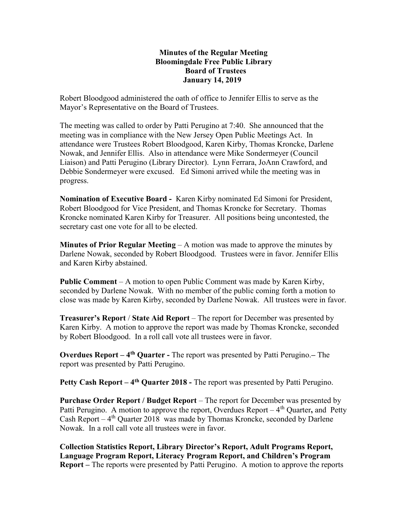## Minutes of the Regular Meeting Bloomingdale Free Public Library Board of Trustees January 14, 2019

Robert Bloodgood administered the oath of office to Jennifer Ellis to serve as the Mayor's Representative on the Board of Trustees.

The meeting was called to order by Patti Perugino at 7:40. She announced that the meeting was in compliance with the New Jersey Open Public Meetings Act. In attendance were Trustees Robert Bloodgood, Karen Kirby, Thomas Kroncke, Darlene Nowak, and Jennifer Ellis. Also in attendance were Mike Sondermeyer (Council Liaison) and Patti Perugino (Library Director). Lynn Ferrara, JoAnn Crawford, and Debbie Sondermeyer were excused. Ed Simoni arrived while the meeting was in progress.

Nomination of Executive Board - Karen Kirby nominated Ed Simoni for President, Robert Bloodgood for Vice President, and Thomas Kroncke for Secretary. Thomas Kroncke nominated Karen Kirby for Treasurer. All positions being uncontested, the secretary cast one vote for all to be elected.

**Minutes of Prior Regular Meeting – A motion was made to approve the minutes by** Darlene Nowak, seconded by Robert Bloodgood. Trustees were in favor. Jennifer Ellis and Karen Kirby abstained.

Public Comment – A motion to open Public Comment was made by Karen Kirby, seconded by Darlene Nowak. With no member of the public coming forth a motion to close was made by Karen Kirby, seconded by Darlene Nowak. All trustees were in favor.

Treasurer's Report / State Aid Report – The report for December was presented by Karen Kirby. A motion to approve the report was made by Thomas Kroncke, seconded by Robert Bloodgood. In a roll call vote all trustees were in favor.

**Overdues Report** –  $4<sup>th</sup>$  **Quarter** - The report was presented by Patti Perugino. – The report was presented by Patti Perugino.

Petty Cash Report  $-4$ <sup>th</sup> Quarter 2018 - The report was presented by Patti Perugino.

Purchase Order Report / Budget Report – The report for December was presented by Patti Perugino. A motion to approve the report, Overdues Report  $-4<sup>th</sup>$  Quarter, and Petty Cash Report –  $4^{th}$  Quarter 2018 was made by Thomas Kroncke, seconded by Darlene Nowak. In a roll call vote all trustees were in favor.

Collection Statistics Report, Library Director's Report, Adult Programs Report, Language Program Report, Literacy Program Report, and Children's Program Report – The reports were presented by Patti Perugino. A motion to approve the reports